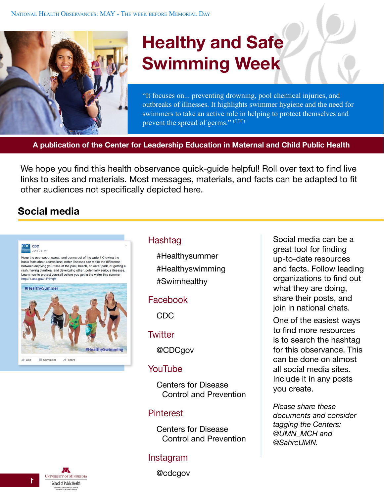

# **Healthy and Safe Swimming Week**

"It focuses on... preventing drowning, pool chemical injuries, and outbreaks of illnesses. It highlights swimmer hygiene and the need for swimmers to take an active role in helping to protect themselves and prevent the spread of germs." (CDC)

**A publication of the Center for Leadership Education in Maternal and Child Public Health**

We hope you find this health observance quick-guide helpful! Roll over text to find live links to sites and materials. Most messages, materials, and facts can be adapted to fit other audiences not specifically depicted here.

## **Social media**

#### CDC CDC  $l$ une 24 - Ø

Keep the pee, poop, sweat, and germs out of the water! Knowing the basic facts about recreational water illnesses can make the difference between enjoying your time at the pool, beach, or water park, or getting a rash, having diarrhea, and developing other, potentially serious illnesses. Learn how to protect yourself before you get in the water this summer http://1.usa.gov/1RtiYgM



### Hashtag

#Healthysummer #Healthyswimming #Swimhealthy

#### Facebook

[CDC](https://www.facebook.com/CDC)

#### **Twitter**

[@CDCgov](https://twitter.com/CDCgov)

#### YouTube

[Centers for Disease](https://www.youtube.com/user/CDCStreamingHealth)  [Control and Prevention](https://www.youtube.com/user/CDCStreamingHealth)

#### Pinterest

[Centers for Disease](https://www.pinterest.com/cdcgov/)  [Control and Preventio](https://www.pinterest.com/cdcgov/)n

#### Instagram

@cdcgov

Social media can be a great tool for finding up-to-date resources and facts. Follow leading organizations to find out what they are doing, share their posts, and join in national chats.

One of the easiest ways to find more resources is to search the hashtag for this observance. This can be done on almost all social media sites. Include it in any posts you create.

*Please share these documents and consider tagging the Centers: [@UMN\\_MCH](https://twitter.com/UMN_MCH) and [@SahrcUMN.](https://twitter.com/SahrcUMN)*